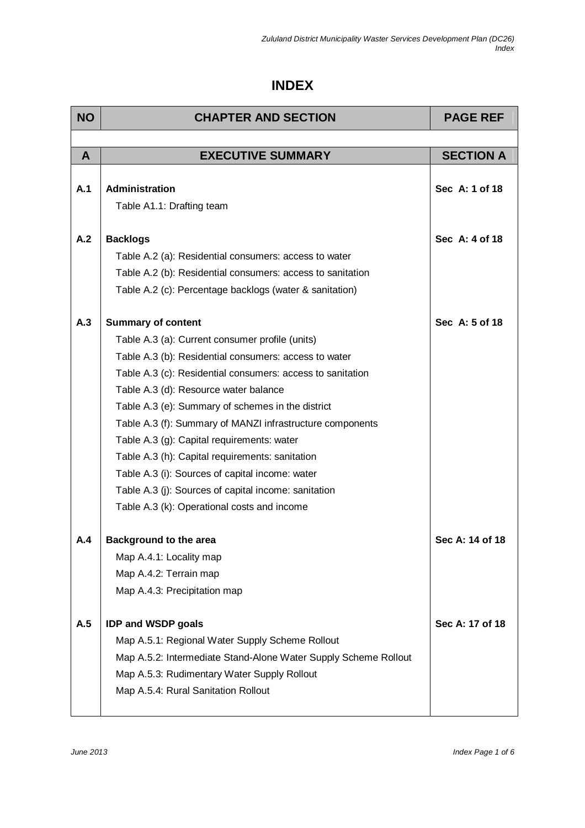## **INDEX**

| <b>NO</b> | <b>CHAPTER AND SECTION</b>                                      | <b>PAGE REF</b>  |
|-----------|-----------------------------------------------------------------|------------------|
|           |                                                                 |                  |
| A         | <b>EXECUTIVE SUMMARY</b>                                        | <b>SECTION A</b> |
|           |                                                                 |                  |
| A.1       | Administration                                                  | Sec A: 1 of 18   |
|           | Table A1.1: Drafting team                                       |                  |
| A.2       | <b>Backlogs</b>                                                 | Sec A: 4 of 18   |
|           |                                                                 |                  |
|           | Table A.2 (a): Residential consumers: access to water           |                  |
|           | Table A.2 (b): Residential consumers: access to sanitation      |                  |
|           | Table A.2 (c): Percentage backlogs (water & sanitation)         |                  |
| A.3       | <b>Summary of content</b>                                       | Sec A: 5 of 18   |
|           | Table A.3 (a): Current consumer profile (units)                 |                  |
|           | Table A.3 (b): Residential consumers: access to water           |                  |
|           | Table A.3 (c): Residential consumers: access to sanitation      |                  |
|           | Table A.3 (d): Resource water balance                           |                  |
|           | Table A.3 (e): Summary of schemes in the district               |                  |
|           | Table A.3 (f): Summary of MANZI infrastructure components       |                  |
|           | Table A.3 (g): Capital requirements: water                      |                  |
|           | Table A.3 (h): Capital requirements: sanitation                 |                  |
|           | Table A.3 (i): Sources of capital income: water                 |                  |
|           | Table A.3 (j): Sources of capital income: sanitation            |                  |
|           | Table A.3 (k): Operational costs and income                     |                  |
| A.4       | <b>Background to the area</b>                                   | Sec A: 14 of 18  |
|           | Map A.4.1: Locality map                                         |                  |
|           | Map A.4.2: Terrain map                                          |                  |
|           | Map A.4.3: Precipitation map                                    |                  |
|           |                                                                 |                  |
| A.5       | <b>IDP and WSDP goals</b>                                       | Sec A: 17 of 18  |
|           | Map A.5.1: Regional Water Supply Scheme Rollout                 |                  |
|           | Map A.5.2: Intermediate Stand-Alone Water Supply Scheme Rollout |                  |
|           | Map A.5.3: Rudimentary Water Supply Rollout                     |                  |
|           | Map A.5.4: Rural Sanitation Rollout                             |                  |
|           |                                                                 |                  |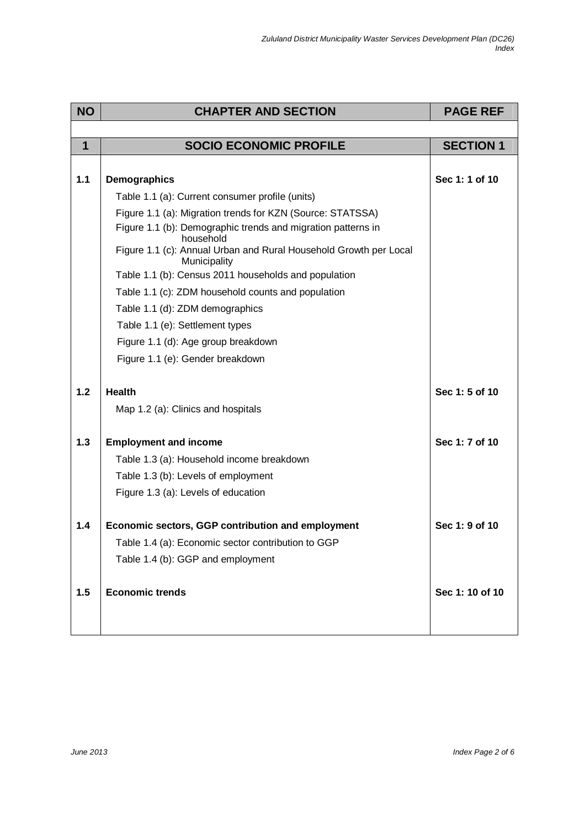| <b>NO</b>   | <b>CHAPTER AND SECTION</b>                                                        | <b>PAGE REF</b>  |
|-------------|-----------------------------------------------------------------------------------|------------------|
|             |                                                                                   |                  |
| $\mathbf 1$ | <b>SOCIO ECONOMIC PROFILE</b>                                                     | <b>SECTION 1</b> |
|             |                                                                                   |                  |
| 1.1         | Demographics                                                                      | Sec 1: 1 of 10   |
|             | Table 1.1 (a): Current consumer profile (units)                                   |                  |
|             | Figure 1.1 (a): Migration trends for KZN (Source: STATSSA)                        |                  |
|             | Figure 1.1 (b): Demographic trends and migration patterns in<br>household         |                  |
|             | Figure 1.1 (c): Annual Urban and Rural Household Growth per Local<br>Municipality |                  |
|             | Table 1.1 (b): Census 2011 households and population                              |                  |
|             | Table 1.1 (c): ZDM household counts and population                                |                  |
|             | Table 1.1 (d): ZDM demographics                                                   |                  |
|             | Table 1.1 (e): Settlement types                                                   |                  |
|             | Figure 1.1 (d): Age group breakdown                                               |                  |
|             | Figure 1.1 (e): Gender breakdown                                                  |                  |
|             |                                                                                   |                  |
| $1.2$       | <b>Health</b>                                                                     | Sec 1: 5 of 10   |
|             | Map 1.2 (a): Clinics and hospitals                                                |                  |
| 1.3         | <b>Employment and income</b>                                                      | Sec 1: 7 of 10   |
|             | Table 1.3 (a): Household income breakdown                                         |                  |
|             | Table 1.3 (b): Levels of employment                                               |                  |
|             | Figure 1.3 (a): Levels of education                                               |                  |
|             |                                                                                   |                  |
| $1.4$       | Economic sectors, GGP contribution and employment                                 | Sec 1: 9 of 10   |
|             | Table 1.4 (a): Economic sector contribution to GGP                                |                  |
|             | Table 1.4 (b): GGP and employment                                                 |                  |
|             |                                                                                   |                  |
| 1.5         | <b>Economic trends</b>                                                            | Sec 1: 10 of 10  |
|             |                                                                                   |                  |
|             |                                                                                   |                  |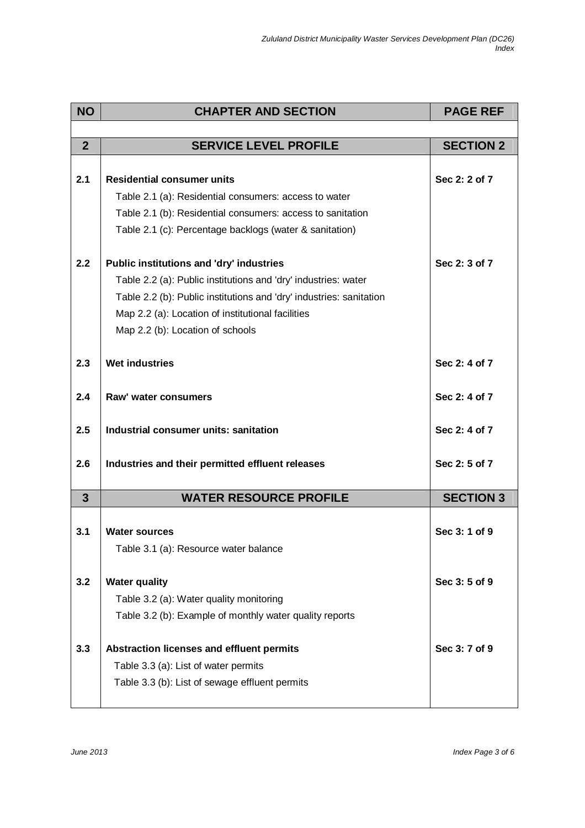| <b>NO</b>      | <b>CHAPTER AND SECTION</b>                                          | <b>PAGE REF</b>  |
|----------------|---------------------------------------------------------------------|------------------|
|                |                                                                     |                  |
| $\overline{2}$ | <b>SERVICE LEVEL PROFILE</b>                                        | <b>SECTION 2</b> |
|                |                                                                     |                  |
| 2.1            | <b>Residential consumer units</b>                                   | Sec 2: 2 of 7    |
|                | Table 2.1 (a): Residential consumers: access to water               |                  |
|                | Table 2.1 (b): Residential consumers: access to sanitation          |                  |
|                | Table 2.1 (c): Percentage backlogs (water & sanitation)             |                  |
| 2.2            | Public institutions and 'dry' industries                            | Sec 2: 3 of 7    |
|                | Table 2.2 (a): Public institutions and 'dry' industries: water      |                  |
|                | Table 2.2 (b): Public institutions and 'dry' industries: sanitation |                  |
|                | Map 2.2 (a): Location of institutional facilities                   |                  |
|                | Map 2.2 (b): Location of schools                                    |                  |
|                |                                                                     |                  |
| 2.3            | <b>Wet industries</b>                                               | Sec 2: 4 of 7    |
| 2.4            | Raw' water consumers                                                | Sec 2: 4 of 7    |
|                |                                                                     |                  |
| 2.5            | Industrial consumer units: sanitation                               | Sec 2: 4 of 7    |
| 2.6            |                                                                     | Sec 2: 5 of 7    |
|                | Industries and their permitted effluent releases                    |                  |
| $\mathbf{3}$   | <b>WATER RESOURCE PROFILE</b>                                       | <b>SECTION 3</b> |
|                |                                                                     |                  |
| 3.1            | <b>Water sources</b>                                                | Sec 3: 1 of 9    |
|                | Table 3.1 (a): Resource water balance                               |                  |
| 3.2            | <b>Water quality</b>                                                | Sec 3:5 of 9     |
|                | Table 3.2 (a): Water quality monitoring                             |                  |
|                | Table 3.2 (b): Example of monthly water quality reports             |                  |
|                |                                                                     |                  |
| 3.3            | Abstraction licenses and effluent permits                           | Sec 3: 7 of 9    |
|                | Table 3.3 (a): List of water permits                                |                  |
|                | Table 3.3 (b): List of sewage effluent permits                      |                  |
|                |                                                                     |                  |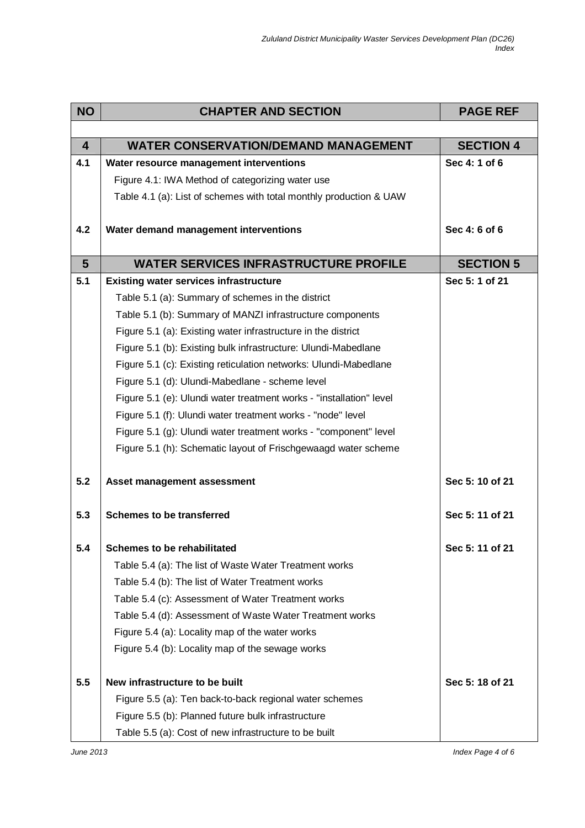| <b>NO</b>      | <b>CHAPTER AND SECTION</b>                                          | <b>PAGE REF</b>  |
|----------------|---------------------------------------------------------------------|------------------|
|                |                                                                     |                  |
| $\overline{4}$ | <b>WATER CONSERVATION/DEMAND MANAGEMENT</b>                         | <b>SECTION 4</b> |
| 4.1            | Water resource management interventions                             | Sec 4: 1 of 6    |
|                | Figure 4.1: IWA Method of categorizing water use                    |                  |
|                | Table 4.1 (a): List of schemes with total monthly production & UAW  |                  |
| 4.2            | Water demand management interventions                               | Sec 4: 6 of 6    |
| $5\phantom{1}$ | <b>WATER SERVICES INFRASTRUCTURE PROFILE</b>                        | <b>SECTION 5</b> |
| 5.1            | <b>Existing water services infrastructure</b>                       | Sec 5: 1 of 21   |
|                | Table 5.1 (a): Summary of schemes in the district                   |                  |
|                | Table 5.1 (b): Summary of MANZI infrastructure components           |                  |
|                | Figure 5.1 (a): Existing water infrastructure in the district       |                  |
|                | Figure 5.1 (b): Existing bulk infrastructure: Ulundi-Mabedlane      |                  |
|                | Figure 5.1 (c): Existing reticulation networks: Ulundi-Mabedlane    |                  |
|                | Figure 5.1 (d): Ulundi-Mabedlane - scheme level                     |                  |
|                | Figure 5.1 (e): Ulundi water treatment works - "installation" level |                  |
|                | Figure 5.1 (f): Ulundi water treatment works - "node" level         |                  |
|                | Figure 5.1 (g): Ulundi water treatment works - "component" level    |                  |
|                | Figure 5.1 (h): Schematic layout of Frischgewaagd water scheme      |                  |
| 5.2            | Asset management assessment                                         | Sec 5: 10 of 21  |
| 5.3            | <b>Schemes to be transferred</b>                                    | Sec 5: 11 of 21  |
| 5.4            | <b>Schemes to be rehabilitated</b>                                  | Sec 5: 11 of 21  |
|                | Table 5.4 (a): The list of Waste Water Treatment works              |                  |
|                | Table 5.4 (b): The list of Water Treatment works                    |                  |
|                | Table 5.4 (c): Assessment of Water Treatment works                  |                  |
|                | Table 5.4 (d): Assessment of Waste Water Treatment works            |                  |
|                | Figure 5.4 (a): Locality map of the water works                     |                  |
|                | Figure 5.4 (b): Locality map of the sewage works                    |                  |
| 5.5            | New infrastructure to be built                                      | Sec 5: 18 of 21  |
|                | Figure 5.5 (a): Ten back-to-back regional water schemes             |                  |
|                | Figure 5.5 (b): Planned future bulk infrastructure                  |                  |
|                | Table 5.5 (a): Cost of new infrastructure to be built               |                  |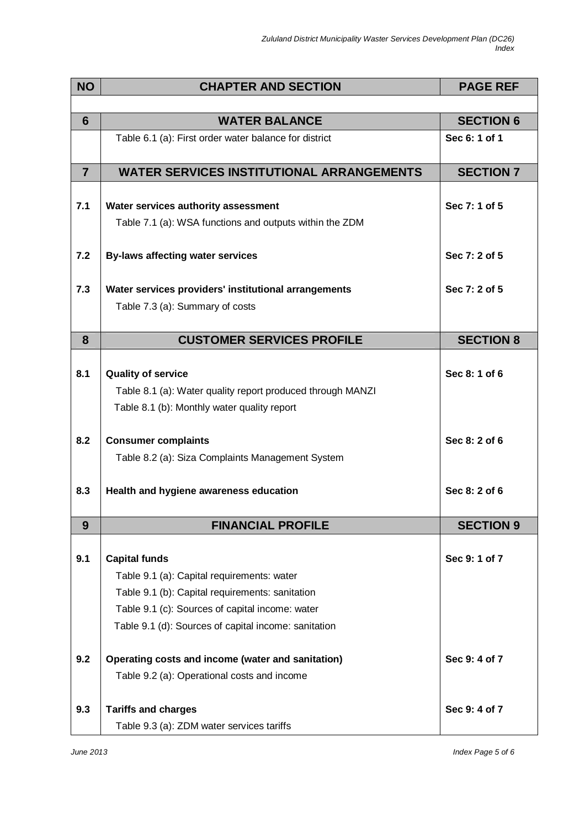| <b>NO</b>      | <b>CHAPTER AND SECTION</b>                                 | <b>PAGE REF</b>  |
|----------------|------------------------------------------------------------|------------------|
|                |                                                            |                  |
| 6              | <b>WATER BALANCE</b>                                       | <b>SECTION 6</b> |
|                | Table 6.1 (a): First order water balance for district      | Sec 6: 1 of 1    |
| $\overline{7}$ | <b>WATER SERVICES INSTITUTIONAL ARRANGEMENTS</b>           | <b>SECTION 7</b> |
|                |                                                            |                  |
| 7.1            | Water services authority assessment                        | Sec 7: 1 of 5    |
|                | Table 7.1 (a): WSA functions and outputs within the ZDM    |                  |
|                |                                                            | Sec 7: 2 of 5    |
| 7.2            | <b>By-laws affecting water services</b>                    |                  |
| 7.3            | Water services providers' institutional arrangements       | Sec 7: 2 of 5    |
|                | Table 7.3 (a): Summary of costs                            |                  |
|                |                                                            |                  |
| 8              | <b>CUSTOMER SERVICES PROFILE</b>                           | <b>SECTION 8</b> |
|                |                                                            |                  |
| 8.1            | <b>Quality of service</b>                                  | Sec 8: 1 of 6    |
|                | Table 8.1 (a): Water quality report produced through MANZI |                  |
|                | Table 8.1 (b): Monthly water quality report                |                  |
| 8.2            | <b>Consumer complaints</b>                                 | Sec 8: 2 of 6    |
|                | Table 8.2 (a): Siza Complaints Management System           |                  |
|                |                                                            |                  |
| 8.3            | Health and hygiene awareness education                     | Sec 8: 2 of 6    |
|                |                                                            |                  |
| 9              | <b>FINANCIAL PROFILE</b>                                   | <b>SECTION 9</b> |
| 9.1            | <b>Capital funds</b>                                       | Sec 9: 1 of 7    |
|                | Table 9.1 (a): Capital requirements: water                 |                  |
|                | Table 9.1 (b): Capital requirements: sanitation            |                  |
|                | Table 9.1 (c): Sources of capital income: water            |                  |
|                | Table 9.1 (d): Sources of capital income: sanitation       |                  |
| 9.2            | Operating costs and income (water and sanitation)          | Sec 9: 4 of 7    |
|                | Table 9.2 (a): Operational costs and income                |                  |
|                |                                                            |                  |
| 9.3            | <b>Tariffs and charges</b>                                 | Sec 9:4 of 7     |
|                | Table 9.3 (a): ZDM water services tariffs                  |                  |